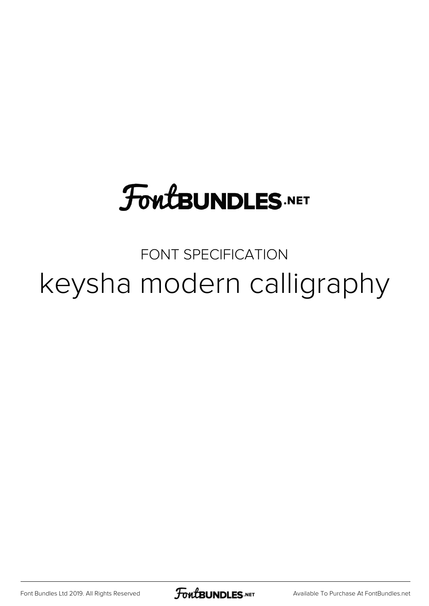## **FoutBUNDLES.NET**

FONT SPECIFICATION keysha modern calligraphy

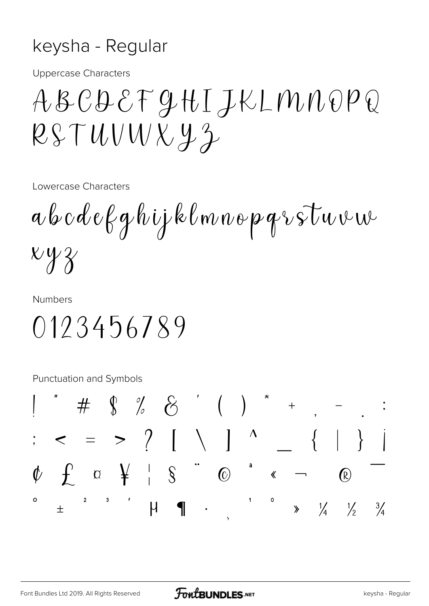## keysha - Regular

**Uppercase Characters** 

ABCDEFGHIJKLMNOPQ  $RSTUUVXY2$ 

Lowercase Characters

 $a\,b\,c\,d\,e\,f\,g\,h\,ij$ klmnopqr $\,$ stuvu  $xyz$ 

**Numbers** 

0123456789

**Punctuation and Symbols** 

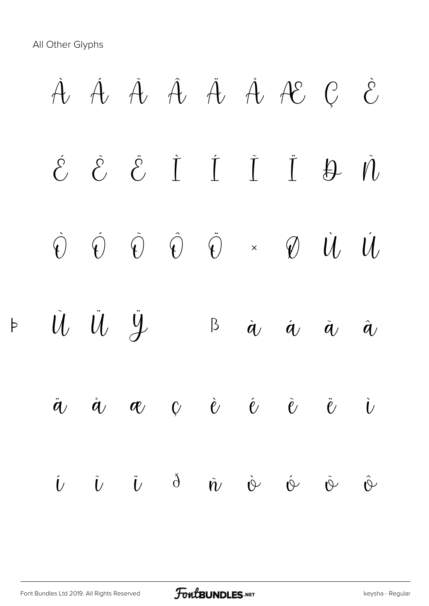All Other Glyphs

 $\flat$ 

*À Á Â Ã Ä Å Æ Ç È É Ê Ë Ì Í Î Ï Ð Ñ Ò Ó Ô Õ Ö × Ø Ù Ú Û Ü Ý Þ ß à á â ã ä å æ ç è é ê ë ì í î ï ð ñ ò ó ô õ*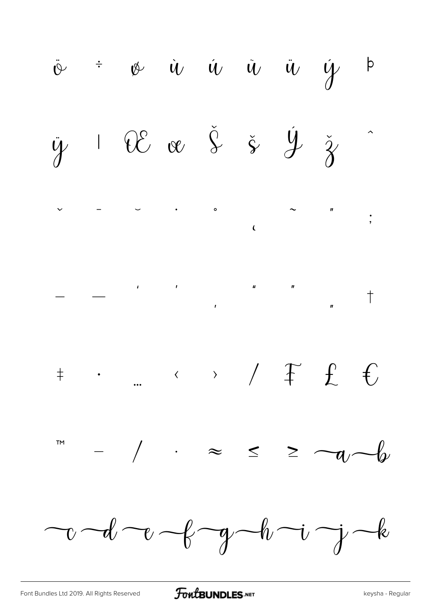FontBUNDLES.NET